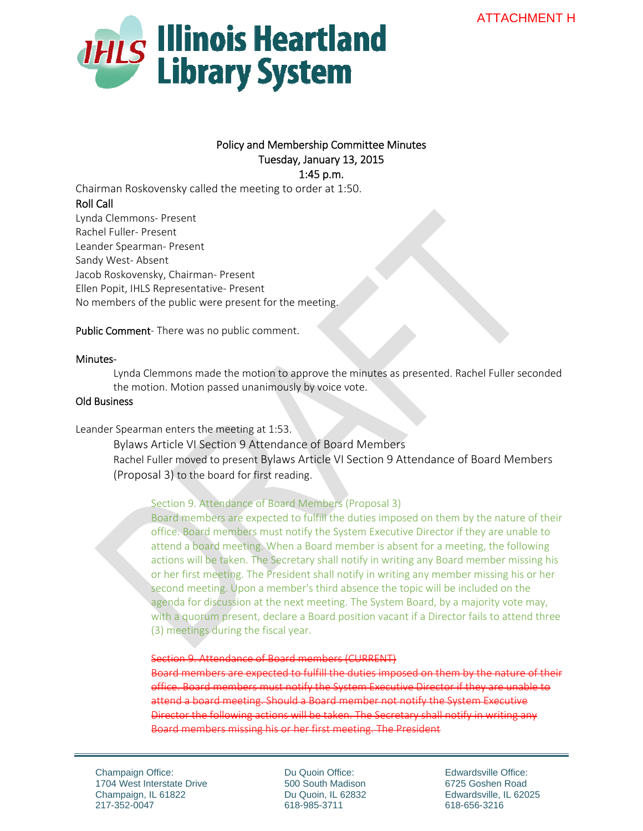

# Policy and Membership Committee Minutes Tuesday, January 13, 2015 1:45 p.m.

Chairman Roskovensky called the meeting to order at 1:50. Roll Call Lynda Clemmons‐ Present Rachel Fuller‐ Present Leander Spearman‐ Present Sandy West‐ Absent Jacob Roskovensky, Chairman‐ Present Ellen Popit, IHLS Representative‐ Present No members of the public were present for the meeting.

Public Comment-There was no public comment.

## Minutes‐

Lynda Clemmons made the motion to approve the minutes as presented. Rachel Fuller seconded the motion. Motion passed unanimously by voice vote.

## Old Business

Leander Spearman enters the meeting at 1:53.

Bylaws Article VI Section 9 Attendance of Board Members Rachel Fuller moved to present Bylaws Article VI Section 9 Attendance of Board Members (Proposal 3) to the board for first reading.

Section 9. Attendance of Board Members (Proposal 3)

Board members are expected to fulfill the duties imposed on them by the nature of their office. Board members must notify the System Executive Director if they are unable to attend a board meeting. When a Board member is absent for a meeting, the following actions will be taken. The Secretary shall notify in writing any Board member missing his or her first meeting. The President shall notify in writing any member missing his or her second meeting. Upon a member's third absence the topic will be included on the agenda for discussion at the next meeting. The System Board, by a majority vote may, with a quorum present, declare a Board position vacant if a Director fails to attend three (3) meetings during the fiscal year.

Section 9. Attendance of Board members (CURRENT)

Board members are expected to fulfill the duties imposed on them System Executive Director if they are unable attend a board meeting. Should a Board member not notify the System Executive Director the following actions will be taken. The Secretary shall notify in writing any Board members missing his or her first meeting. The President

Champaign Office: 1704 West Interstate Drive Champaign, IL 61822 217-352-0047

Du Quoin Office: 500 South Madison Du Quoin, IL 62832 618-985-3711

Edwardsville Office: 6725 Goshen Road Edwardsville, IL 62025 618-656-3216